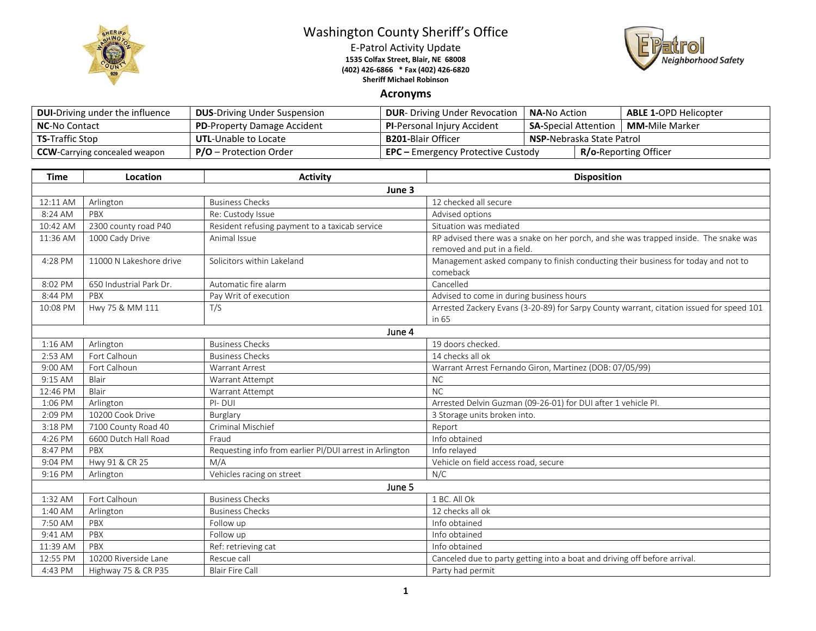

## Washington County Sheriff's Office

E-Patrol Activity Update **1535 Colfax Street, Blair, NE 68008 (402) 426-6866 \* Fax (402) 426-6820 Sheriff Michael Robinson**



## **Acronyms**

| <b>DUI-Driving under the influence</b> | <b>DUS-Driving Under Suspension</b> | <b>DUR-</b> Driving Under Revocation      | <b>NA-No Action</b>              |  | <b>ABLE 1-OPD Helicopter</b> |
|----------------------------------------|-------------------------------------|-------------------------------------------|----------------------------------|--|------------------------------|
| <b>NC-No Contact</b>                   | <b>PD-Property Damage Accident</b>  | <b>PI-Personal Injury Accident</b>        | <b>SA-Special Attention</b>      |  | <b>MM-</b> Mile Marker       |
| <b>TS-Traffic Stop</b>                 | <b>UTL-Unable to Locate</b>         | <b>B201-Blair Officer</b>                 | <b>NSP-Nebraska State Patrol</b> |  |                              |
| <b>CCW</b> -Carrying concealed weapon  | $P/O -$ Protection Order            | <b>EPC</b> – Emergency Protective Custody |                                  |  | <b>R/o-Reporting Officer</b> |

| <b>Time</b> | Location                | <b>Activity</b>                                         | <b>Disposition</b>                                                                                                  |  |  |  |
|-------------|-------------------------|---------------------------------------------------------|---------------------------------------------------------------------------------------------------------------------|--|--|--|
|             | June 3                  |                                                         |                                                                                                                     |  |  |  |
| 12:11 AM    | Arlington               | <b>Business Checks</b>                                  | 12 checked all secure                                                                                               |  |  |  |
| 8:24 AM     | PBX                     | Re: Custody Issue                                       | Advised options                                                                                                     |  |  |  |
| 10:42 AM    | 2300 county road P40    | Resident refusing payment to a taxicab service          | Situation was mediated                                                                                              |  |  |  |
| 11:36 AM    | 1000 Cady Drive         | Animal Issue                                            | RP advised there was a snake on her porch, and she was trapped inside. The snake was<br>removed and put in a field. |  |  |  |
| 4:28 PM     | 11000 N Lakeshore drive | Solicitors within Lakeland                              | Management asked company to finish conducting their business for today and not to<br>comeback                       |  |  |  |
| 8:02 PM     | 650 Industrial Park Dr. | Automatic fire alarm                                    | Cancelled                                                                                                           |  |  |  |
| 8:44 PM     | PBX                     | Pay Writ of execution                                   | Advised to come in during business hours                                                                            |  |  |  |
| 10:08 PM    | Hwy 75 & MM 111         | T/S                                                     | Arrested Zackery Evans (3-20-89) for Sarpy County warrant, citation issued for speed 101<br>in 65                   |  |  |  |
|             | June 4                  |                                                         |                                                                                                                     |  |  |  |
| 1:16 AM     | Arlington               | <b>Business Checks</b>                                  | 19 doors checked.                                                                                                   |  |  |  |
| 2:53 AM     | Fort Calhoun            | <b>Business Checks</b>                                  | 14 checks all ok                                                                                                    |  |  |  |
| 9:00 AM     | Fort Calhoun            | <b>Warrant Arrest</b>                                   | Warrant Arrest Fernando Giron, Martinez (DOB: 07/05/99)                                                             |  |  |  |
| 9:15 AM     | Blair                   | Warrant Attempt                                         | <b>NC</b>                                                                                                           |  |  |  |
| 12:46 PM    | Blair                   | Warrant Attempt                                         | NC                                                                                                                  |  |  |  |
| 1:06 PM     | Arlington               | PI-DUI                                                  | Arrested Delvin Guzman (09-26-01) for DUI after 1 vehicle PI.                                                       |  |  |  |
| 2:09 PM     | 10200 Cook Drive        | Burglary                                                | 3 Storage units broken into.                                                                                        |  |  |  |
| 3:18 PM     | 7100 County Road 40     | <b>Criminal Mischief</b>                                | Report                                                                                                              |  |  |  |
| 4:26 PM     | 6600 Dutch Hall Road    | Fraud                                                   | Info obtained                                                                                                       |  |  |  |
| 8:47 PM     | PBX                     | Requesting info from earlier PI/DUI arrest in Arlington | Info relayed                                                                                                        |  |  |  |
| 9:04 PM     | Hwy 91 & CR 25          | M/A                                                     | Vehicle on field access road, secure                                                                                |  |  |  |
| 9:16 PM     | Arlington               | Vehicles racing on street                               | N/C                                                                                                                 |  |  |  |
| June 5      |                         |                                                         |                                                                                                                     |  |  |  |
| 1:32 AM     | Fort Calhoun            | <b>Business Checks</b>                                  | 1 BC. All Ok                                                                                                        |  |  |  |
| 1:40 AM     | Arlington               | <b>Business Checks</b>                                  | 12 checks all ok                                                                                                    |  |  |  |
| 7:50 AM     | PBX                     | Follow up                                               | Info obtained                                                                                                       |  |  |  |
| 9:41 AM     | PBX                     | Follow up                                               | Info obtained                                                                                                       |  |  |  |
| 11:39 AM    | PBX                     | Ref: retrieving cat                                     | Info obtained                                                                                                       |  |  |  |
| 12:55 PM    | 10200 Riverside Lane    | Rescue call                                             | Canceled due to party getting into a boat and driving off before arrival.                                           |  |  |  |
| 4:43 PM     | Highway 75 & CR P35     | <b>Blair Fire Call</b>                                  | Party had permit                                                                                                    |  |  |  |